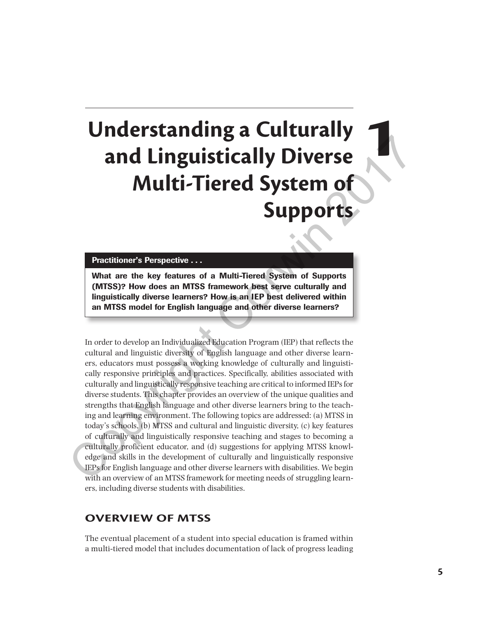# **Understanding a Culturally and Linguistically Diverse Multi-Tiered System of Supports**

Practitioner's Perspective . . .

What are the key features of a Multi-Tiered System of Supports (MTSS)? How does an MTSS framework best serve culturally and linguistically diverse learners? How is an IEP best delivered within an MTSS model for English language and other diverse learners?

In order to develop an Individualized Education Program (IEP) that reflects the cultural and linguistic diversity of English language and other diverse learners, educators must possess a working knowledge of culturally and linguistically responsive principles and practices. Specifically, abilities associated with culturally and linguistically responsive teaching are critical to informed IEPs for diverse students. This chapter provides an overview of the unique qualities and strengths that English language and other diverse learners bring to the teaching and learning environment. The following topics are addressed: (a) MTSS in today's schools, (b) MTSS and cultural and linguistic diversity, (c) key features of culturally and linguistically responsive teaching and stages to becoming a culturally proficient educator, and (d) suggestions for applying MTSS knowledge and skills in the development of culturally and linguistically responsive IEPs for English language and other diverse learners with disabilities. We begin with an overview of an MTSS framework for meeting needs of struggling learners, including diverse students with disabilities. **and Linguistically Diverse**<br> **Multi-Tiered System of**<br> **Multi-Tiered System of**<br> **Supports**<br> **Multi-Tiered System of**<br> **Supports**<br> **Consider the key features of a Multi-Tiered System of supports**<br>
(MTSS)? How does an MTSS

## **OVERVIEW OF MTSS**

The eventual placement of a student into special education is framed within a multi-tiered model that includes documentation of lack of progress leading **1**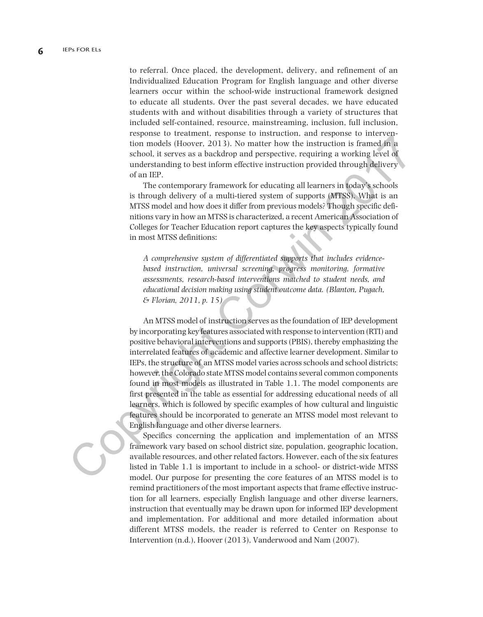to referral. Once placed, the development, delivery, and refinement of an Individualized Education Program for English language and other diverse learners occur within the school-wide instructional framework designed to educate all students. Over the past several decades, we have educated students with and without disabilities through a variety of structures that included self-contained, resource, mainstreaming, inclusion, full inclusion, response to treatment, response to instruction, and response to intervention models (Hoover, 2013). No matter how the instruction is framed in a school, it serves as a backdrop and perspective, requiring a working level of understanding to best inform effective instruction provided through delivery of an IEP.

The contemporary framework for educating all learners in today's schools is through delivery of a multi-tiered system of supports (MTSS). What is an MTSS model and how does it differ from previous models? Though specific definitions vary in how an MTSS is characterized, a recent American Association of Colleges for Teacher Education report captures the key aspects typically found in most MTSS definitions:

*A comprehensive system of differentiated supports that includes evidencebased instruction, universal screening, progress monitoring, formative assessments, research-based interventions matched to student needs, and educational decision making using student outcome data. (Blanton, Pugach, & Florian, 2011, p. 15)*

An MTSS model of instruction serves as the foundation of IEP development by incorporating key features associated with response to intervention (RTI) and positive behavioral interventions and supports (PBIS), thereby emphasizing the interrelated features of academic and affective learner development. Similar to IEPs, the structure of an MTSS model varies across schools and school districts; however, the Colorado state MTSS model contains several common components found in most models as illustrated in Table 1.1. The model components are first presented in the table as essential for addressing educational needs of all learners, which is followed by specific examples of how cultural and linguistic features should be incorporated to generate an MTSS model most relevant to English language and other diverse learners. From the strength Correlation and perspective, required and any sphoring that the strength is meant that the understanding to best inform effective instruction provided through delivery of an IIP.<br>
understanding to best i

Specifics concerning the application and implementation of an MTSS framework vary based on school district size, population, geographic location, available resources, and other related factors. However, each of the six features listed in Table 1.1 is important to include in a school- or district-wide MTSS model. Our purpose for presenting the core features of an MTSS model is to remind practitioners of the most important aspects that frame effective instruction for all learners, especially English language and other diverse learners, instruction that eventually may be drawn upon for informed IEP development and implementation. For additional and more detailed information about different MTSS models, the reader is referred to Center on Response to Intervention (n.d.), Hoover (2013), Vanderwood and Nam (2007).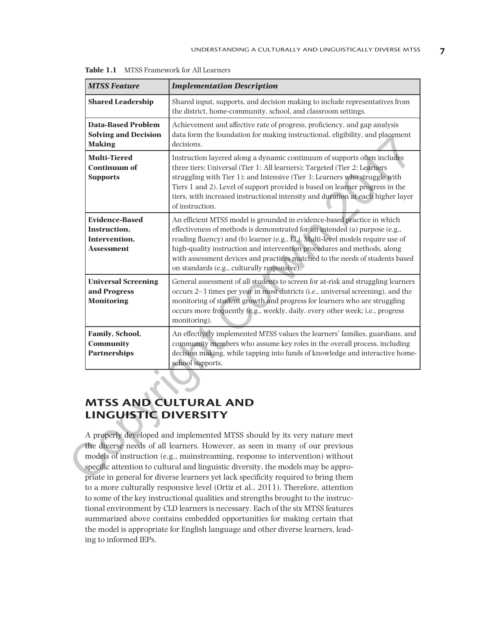| <b>Shared Leadership</b><br>Shared input, supports, and decision making to include representatives from<br>the district, home-community, school, and classroom settings.<br><b>Data-Based Problem</b><br>Achievement and affective rate of progress, proficiency, and gap analysis<br><b>Solving and Decision</b><br>data form the foundation for making instructional, eligibility, and placement<br><b>Making</b><br>decisions.<br><b>Multi-Tiered</b><br>Instruction layered along a dynamic continuum of supports often includes<br><b>Continuum of</b><br>three tiers: Universal (Tier 1: All learners); Targeted (Tier 2: Learners<br>struggling with Tier 1); and Intensive (Tier 3: Learners who struggle with<br><b>Supports</b><br>Tiers 1 and 2). Level of support provided is based on learner progress in the<br>tiers, with increased instructional intensity and duration at each higher layer<br>of instruction.<br><b>Evidence-Based</b><br>An efficient MTSS model is grounded in evidence-based practice in which<br>effectiveness of methods is demonstrated for an intended (a) purpose (e.g.,<br>Instruction,<br>reading fluency) and (b) learner (e.g., EL). Multi-level models require use of<br>Intervention,<br>high-quality instruction and intervention procedures and methods, along<br><b>Assessment</b><br>with assessment devices and practices matched to the needs of students based<br>on standards (e.g., culturally responsive).<br><b>Universal Screening</b><br>General assessment of all students to screen for at-risk and struggling learners<br>occurs 2–3 times per year in most districts (i.e., universal screening), and the<br>and Progress<br>monitoring of student growth and progress for learners who are struggling<br><b>Monitoring</b><br>occurs more frequently (e.g., weekly, daily, every other week; i.e., progress |  |
|--------------------------------------------------------------------------------------------------------------------------------------------------------------------------------------------------------------------------------------------------------------------------------------------------------------------------------------------------------------------------------------------------------------------------------------------------------------------------------------------------------------------------------------------------------------------------------------------------------------------------------------------------------------------------------------------------------------------------------------------------------------------------------------------------------------------------------------------------------------------------------------------------------------------------------------------------------------------------------------------------------------------------------------------------------------------------------------------------------------------------------------------------------------------------------------------------------------------------------------------------------------------------------------------------------------------------------------------------------------------------------------------------------------------------------------------------------------------------------------------------------------------------------------------------------------------------------------------------------------------------------------------------------------------------------------------------------------------------------------------------------------------------------------------------------------------------------------------------------------------------------|--|
|                                                                                                                                                                                                                                                                                                                                                                                                                                                                                                                                                                                                                                                                                                                                                                                                                                                                                                                                                                                                                                                                                                                                                                                                                                                                                                                                                                                                                                                                                                                                                                                                                                                                                                                                                                                                                                                                                |  |
|                                                                                                                                                                                                                                                                                                                                                                                                                                                                                                                                                                                                                                                                                                                                                                                                                                                                                                                                                                                                                                                                                                                                                                                                                                                                                                                                                                                                                                                                                                                                                                                                                                                                                                                                                                                                                                                                                |  |
|                                                                                                                                                                                                                                                                                                                                                                                                                                                                                                                                                                                                                                                                                                                                                                                                                                                                                                                                                                                                                                                                                                                                                                                                                                                                                                                                                                                                                                                                                                                                                                                                                                                                                                                                                                                                                                                                                |  |
|                                                                                                                                                                                                                                                                                                                                                                                                                                                                                                                                                                                                                                                                                                                                                                                                                                                                                                                                                                                                                                                                                                                                                                                                                                                                                                                                                                                                                                                                                                                                                                                                                                                                                                                                                                                                                                                                                |  |
| monitoring).                                                                                                                                                                                                                                                                                                                                                                                                                                                                                                                                                                                                                                                                                                                                                                                                                                                                                                                                                                                                                                                                                                                                                                                                                                                                                                                                                                                                                                                                                                                                                                                                                                                                                                                                                                                                                                                                   |  |
| Family, School,<br>An effectively implemented MTSS values the learners' families, guardians, and<br>Community<br>community members who assume key roles in the overall process, including<br><b>Partnerships</b><br>decision making, while tapping into funds of knowledge and interactive home-<br>school supports.                                                                                                                                                                                                                                                                                                                                                                                                                                                                                                                                                                                                                                                                                                                                                                                                                                                                                                                                                                                                                                                                                                                                                                                                                                                                                                                                                                                                                                                                                                                                                           |  |

**Table 1.1** MTSS Framework for All Learners

# **MTSS AND CULTURAL AND LINGUISTIC DIVERSITY**

A properly developed and implemented MTSS should by its very nature meet the diverse needs of all learners. However, as seen in many of our previous models of instruction (e.g., mainstreaming, response to intervention) without specific attention to cultural and linguistic diversity, the models may be appropriate in general for diverse learners yet lack specificity required to bring them to a more culturally responsive level (Ortiz et al., 2011). Therefore, attention to some of the key instructional qualities and strengths brought to the instructional environment by CLD learners is necessary. Each of the six MTSS features summarized above contains embedded opportunities for making certain that the model is appropriate for English language and other diverse learners, leading to informed IEPs.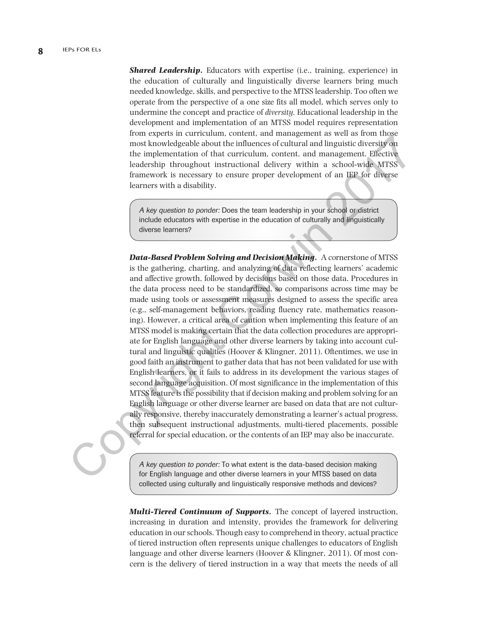**Shared Leadership.** Educators with expertise (i.e., training, experience) in the education of culturally and linguistically diverse learners bring much needed knowledge, skills, and perspective to the MTSS leadership. Too often we operate from the perspective of a one size fits all model, which serves only to undermine the concept and practice of *diversity.* Educational leadership in the development and implementation of an MTSS model requires representation from experts in curriculum, content, and management as well as from those most knowledgeable about the influences of cultural and linguistic diversity on the implementation of that curriculum, content, and management. Effective leadership throughout instructional delivery within a school-wide MTSS framework is necessary to ensure proper development of an IEP for diverse learners with a disability.

A key question to ponder: Does the team leadership in your school or district include educators with expertise in the education of culturally and linguistically diverse learners?

*Data-Based Problem Solving and Decision Making***.** A cornerstone of MTSS is the gathering, charting, and analyzing of data reflecting learners' academic and affective growth, followed by decisions based on those data. Procedures in the data process need to be standardized, so comparisons across time may be made using tools or assessment measures designed to assess the specific area (e.g., self-management behaviors, reading fluency rate, mathematics reasoning). However, a critical area of caution when implementing this feature of an MTSS model is making certain that the data collection procedures are appropriate for English language and other diverse learners by taking into account cultural and linguistic qualities (Hoover & Klingner, 2011). Oftentimes, we use in good faith an instrument to gather data that has not been validated for use with English learners, or it fails to address in its development the various stages of second language acquisition. Of most significance in the implementation of this MTSS feature is the possibility that if decision making and problem solving for an English language or other diverse learner are based on data that are not culturally responsive, thereby inaccurately demonstrating a learner's actual progress, then subsequent instructional adjustments, multi-tiered placements, possible referral for special education, or the contents of an IEP may also be inaccurate. non signation of that current and magnetic and magnetic diversity on<br>the information of the influences of cultural and linguistic diversity on<br>the implementation of the current magnetic diversity on<br>teachership throughout

A key question to ponder: To what extent is the data-based decision making for English language and other diverse learners in your MTSS based on data collected using culturally and linguistically responsive methods and devices?

*Multi-Tiered Continuum of Supports***.** The concept of layered instruction, increasing in duration and intensity, provides the framework for delivering education in our schools. Though easy to comprehend in theory, actual practice of tiered instruction often represents unique challenges to educators of English language and other diverse learners (Hoover & Klingner, 2011). Of most concern is the delivery of tiered instruction in a way that meets the needs of all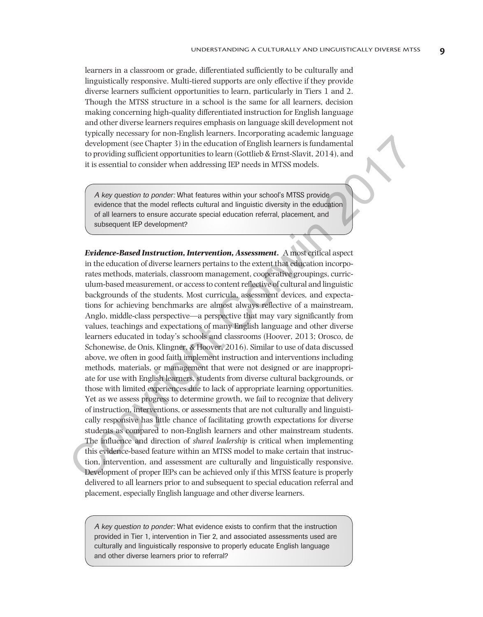learners in a classroom or grade, differentiated sufficiently to be culturally and linguistically responsive. Multi-tiered supports are only effective if they provide diverse learners sufficient opportunities to learn, particularly in Tiers 1 and 2. Though the MTSS structure in a school is the same for all learners, decision making concerning high-quality differentiated instruction for English language and other diverse learners requires emphasis on language skill development not typically necessary for non-English learners. Incorporating academic language development (see Chapter 3) in the education of English learners is fundamental to providing sufficient opportunities to learn (Gottlieb & Ernst-Slavit, 2014), and it is essential to consider when addressing IEP needs in MTSS models.

A key question to ponder: What features within your school's MTSS provide evidence that the model reflects cultural and linguistic diversity in the education of all learners to ensure accurate special education referral, placement, and subsequent IEP development?

*Evidence-Based Instruction, Intervention, Assessment***.** A most critical aspect in the education of diverse learners pertains to the extent that education incorporates methods, materials, classroom management, cooperative groupings, curriculum-based measurement, or access to content reflective of cultural and linguistic backgrounds of the students. Most curricula, assessment devices, and expectations for achieving benchmarks are almost always reflective of a mainstream, Anglo, middle-class perspective—a perspective that may vary significantly from values, teachings and expectations of many English language and other diverse learners educated in today's schools and classrooms (Hoover, 2013; Orosco, de Schonewise, de Onis, Klingner, & Hoover, 2016). Similar to use of data discussed above, we often in good faith implement instruction and interventions including methods, materials, or management that were not designed or are inappropriate for use with English learners, students from diverse cultural backgrounds, or those with limited experiences due to lack of appropriate learning opportunities. Yet as we assess progress to determine growth, we fail to recognize that delivery of instruction, interventions, or assessments that are not culturally and linguistically responsive has little chance of facilitating growth expectations for diverse students as compared to non-English learners and other mainstream students. The influence and direction of *shared leadership* is critical when implementing this evidence-based feature within an MTSS model to make certain that instruction, intervention, and assessment are culturally and linguistically responsive. Development of proper IEPs can be achieved only if this MTSS feature is properly delivered to all learners prior to and subsequent to special education referral and placement, especially English language and other diverse learners. development (see Chapter 3) in the electration of Exploration and the decoration of Exploration of Exploration of Exploration of the sesential to consider when diductsion (Fortliche Reinst-Stort, 2014), and it is essential

A key question to ponder: What evidence exists to confirm that the instruction provided in Tier 1, intervention in Tier 2, and associated assessments used are culturally and linguistically responsive to properly educate English language and other diverse learners prior to referral?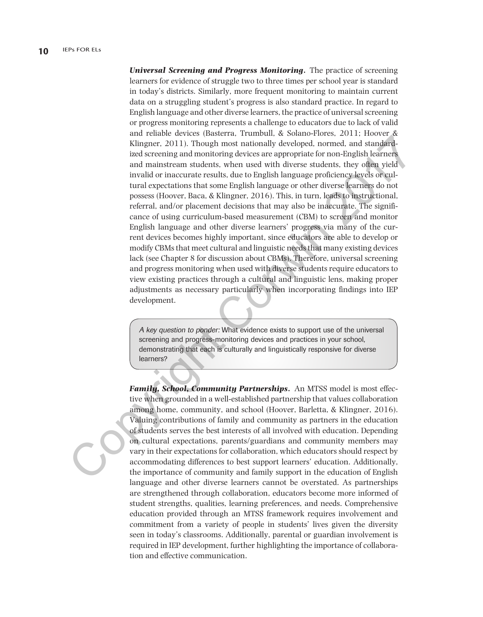*Universal Screening and Progress Monitoring***.** The practice of screening learners for evidence of struggle two to three times per school year is standard in today's districts. Similarly, more frequent monitoring to maintain current data on a struggling student's progress is also standard practice. In regard to English language and other diverse learners, the practice of universal screening or progress monitoring represents a challenge to educators due to lack of valid and reliable devices (Basterra, Trumbull, & Solano-Flores, 2011; Hoover & Klingner, 2011). Though most nationally developed, normed, and standardized screening and monitoring devices are appropriate for non-English learners and mainstream students, when used with diverse students, they often yield invalid or inaccurate results, due to English language proficiency levels or cultural expectations that some English language or other diverse learners do not possess (Hoover, Baca, & Klingner, 2016). This, in turn, leads to instructional, referral, and/or placement decisions that may also be inaccurate. The significance of using curriculum-based measurement (CBM) to screen and monitor English language and other diverse learners' progress via many of the current devices becomes highly important, since educators are able to develop or modify CBMs that meet cultural and linguistic needs that many existing devices lack (see Chapter 8 for discussion about CBMs). Therefore, universal screening and progress monitoring when used with diverse students require educators to view existing practices through a cultural and linguistic lens, making proper adjustments as necessary particularly when incorporating findings into IEP development. Example and monitoring developed, normally developed, normal, and standard<br>ize of screening and monitoring developed, normal, and standard<br>and mainstream students, when used with diverse students, they often yield<br>and main

A key question to ponder: What evidence exists to support use of the universal screening and progress-monitoring devices and practices in your school, demonstrating that each is culturally and linguistically responsive for diverse learners?

*Family, School, Community Partnerships***.** An MTSS model is most effective when grounded in a well-established partnership that values collaboration among home, community, and school (Hoover, Barletta, & Klingner, 2016). Valuing contributions of family and community as partners in the education of students serves the best interests of all involved with education. Depending on cultural expectations, parents/guardians and community members may vary in their expectations for collaboration, which educators should respect by accommodating differences to best support learners' education. Additionally, the importance of community and family support in the education of English language and other diverse learners cannot be overstated. As partnerships are strengthened through collaboration, educators become more informed of student strengths, qualities, learning preferences, and needs. Comprehensive education provided through an MTSS framework requires involvement and commitment from a variety of people in students' lives given the diversity seen in today's classrooms. Additionally, parental or guardian involvement is required in IEP development, further highlighting the importance of collaboration and effective communication.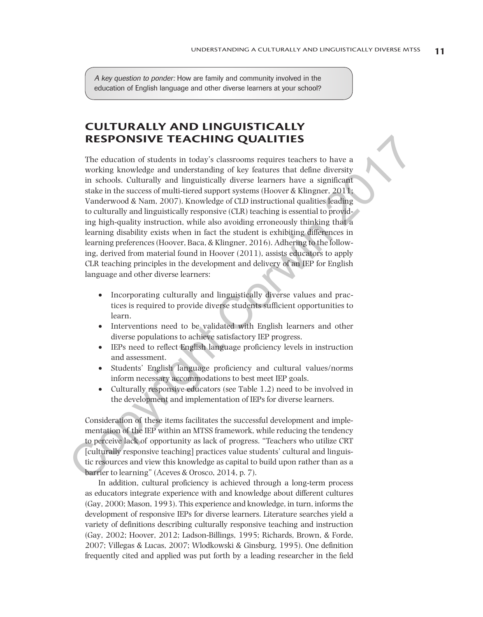A key question to ponder: How are family and community involved in the education of English language and other diverse learners at your school?

## **CULTURALLY AND LINGUISTICALLY RESPONSIVE TEACHING QUALITIES**

The education of students in today's classrooms requires teachers to have a working knowledge and understanding of key features that define diversity in schools. Culturally and linguistically diverse learners have a significant stake in the success of multi-tiered support systems (Hoover & Klingner, 2011; Vanderwood & Nam, 2007). Knowledge of CLD instructional qualities leading to culturally and linguistically responsive (CLR) teaching is essential to providing high-quality instruction, while also avoiding erroneously thinking that a learning disability exists when in fact the student is exhibiting differences in learning preferences (Hoover, Baca, & Klingner, 2016). Adhering to the following, derived from material found in Hoover (2011), assists educators to apply CLR teaching principles in the development and delivery of an IEP for English language and other diverse learners: **RESPONSIVE TEACHING QUALITIES**<br>The eduction of students in today's classrooms requires teachers to have a<br>more than the product of the mean of the student of the mean of the student of the section with the section of stu

- Incorporating culturally and linguistically diverse values and practices is required to provide diverse students sufficient opportunities to learn.
- Interventions need to be validated with English learners and other diverse populations to achieve satisfactory IEP progress.
- IEPs need to reflect English language proficiency levels in instruction and assessment.
- • Students' English language proficiency and cultural values/norms inform necessary accommodations to best meet IEP goals.
- Culturally responsive educators (see Table 1.2) need to be involved in the development and implementation of IEPs for diverse learners.

Consideration of these items facilitates the successful development and implementation of the IEP within an MTSS framework, while reducing the tendency to perceive lack of opportunity as lack of progress. "Teachers who utilize CRT [culturally responsive teaching] practices value students' cultural and linguistic resources and view this knowledge as capital to build upon rather than as a barrier to learning" (Aceves & Orosco, 2014, p. 7).

In addition, cultural proficiency is achieved through a long-term process as educators integrate experience with and knowledge about different cultures (Gay, 2000; Mason, 1993). This experience and knowledge, in turn, informs the development of responsive IEPs for diverse learners. Literature searches yield a variety of definitions describing culturally responsive teaching and instruction (Gay, 2002; Hoover, 2012; Ladson-Billings, 1995; Richards, Brown, & Forde, 2007; Villegas & Lucas, 2007; Wlodkowski & Ginsburg, 1995). One definition frequently cited and applied was put forth by a leading researcher in the field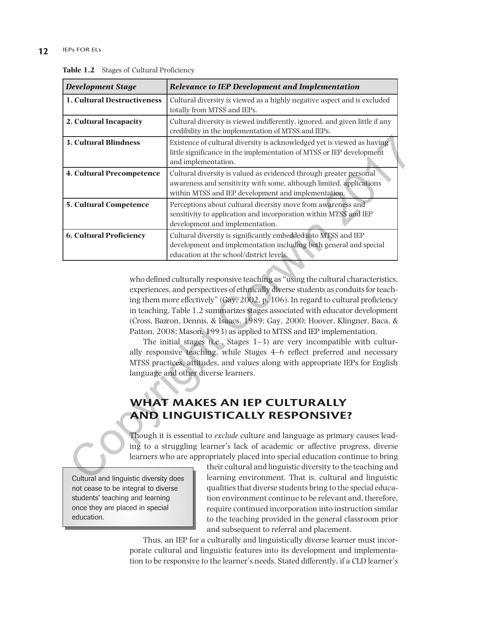#### **12** IEPs FOR ELs

| <b>Development Stage</b>               | <b>Relevance to IEP Development and Implementation</b>                                                                                                                                                                                                                                                                                                                                                                                                                                                                                                                                                                                                                                                                                                                                         |
|----------------------------------------|------------------------------------------------------------------------------------------------------------------------------------------------------------------------------------------------------------------------------------------------------------------------------------------------------------------------------------------------------------------------------------------------------------------------------------------------------------------------------------------------------------------------------------------------------------------------------------------------------------------------------------------------------------------------------------------------------------------------------------------------------------------------------------------------|
| 1. Cultural Destructiveness            | Cultural diversity is viewed as a highly negative aspect and is excluded<br>totally from MTSS and IEPs.                                                                                                                                                                                                                                                                                                                                                                                                                                                                                                                                                                                                                                                                                        |
| 2. Cultural Incapacity                 | Cultural diversity is viewed indifferently, ignored, and given little if any<br>credibility in the implementation of MTSS and IEPs.                                                                                                                                                                                                                                                                                                                                                                                                                                                                                                                                                                                                                                                            |
| <b>3. Cultural Blindness</b>           | Existence of cultural diversity is acknowledged yet is viewed as having<br>little significance in the implementation of MTSS or IEP development<br>and implementation.                                                                                                                                                                                                                                                                                                                                                                                                                                                                                                                                                                                                                         |
| <b>4. Cultural Precompetence</b>       | Cultural diversity is valued as evidenced through greater personal<br>awareness and sensitivity with some, although limited, applications<br>within MTSS and IEP development and implementation.                                                                                                                                                                                                                                                                                                                                                                                                                                                                                                                                                                                               |
| <b>5. Cultural Competence</b>          | Perceptions about cultural diversity move from awareness and<br>sensitivity to application and incorporation within MTSS and IEP<br>development and implementation.                                                                                                                                                                                                                                                                                                                                                                                                                                                                                                                                                                                                                            |
| <b>6. Cultural Proficiency</b>         | Cultural diversity is significantly embedded into MTSS and IEP<br>development and implementation including both general and special<br>education at the school/district levels.                                                                                                                                                                                                                                                                                                                                                                                                                                                                                                                                                                                                                |
|                                        | who defined culturally responsive teaching as "using the cultural characteristics,<br>experiences, and perspectives of ethnically diverse students as conduits for teach-<br>ing them more effectively" (Gay, 2002, p. 106). In regard to cultural proficiency<br>in teaching, Table 1.2 summarizes stages associated with educator development<br>(Cross, Bazron, Dennis, & Isaacs, 1989; Gay, 2000; Hoover, Klingner, Baca, &<br>Patton, 2008; Mason, 1993) as applied to MTSS and IEP implementation.<br>The initial stages (i.e., Stages $1-3$ ) are very incompatible with cultur-<br>ally responsive teaching, while Stages 4–6 reflect preferred and necessary<br>MTSS practices, attitudes, and values along with appropriate IEPs for English<br>language and other diverse learners. |
|                                        | WHAT MAKES AN IEP CULTURALLY<br><b>AND LINGUISTICALLY RESPONSIVE?</b><br>Though it is essential to exclude culture and language as primary causes lead-<br>ing to a struggling learner's lack of academic or affective progress, diverse<br>learners who are appropriately placed into special education continue to bring                                                                                                                                                                                                                                                                                                                                                                                                                                                                     |
| Cultural and linguistic diversity does | their cultural and linguistic diversity to the teaching and<br>learning environment. That is, cultural and linguistic                                                                                                                                                                                                                                                                                                                                                                                                                                                                                                                                                                                                                                                                          |

Table 1.2 Stages of Cultural Proficiency

# **WHAT MAKES AN IEP CULTURALLY AND LINGUISTICALLY RESPONSIVE?**

Cultural and linguistic diversity does not cease to be integral to diverse students' teaching and learning once they are placed in special education.

their cultural and linguistic diversity to the teaching and learning environment. That is, cultural and linguistic qualities that diverse students bring to the special education environment continue to be relevant and, therefore, require continued incorporation into instruction similar to the teaching provided in the general classroom prior and subsequent to referral and placement.

Thus, an IEP for a culturally and linguistically diverse learner must incorporate cultural and linguistic features into its development and implementation to be responsive to the learner's needs. Stated differently, if a CLD learner's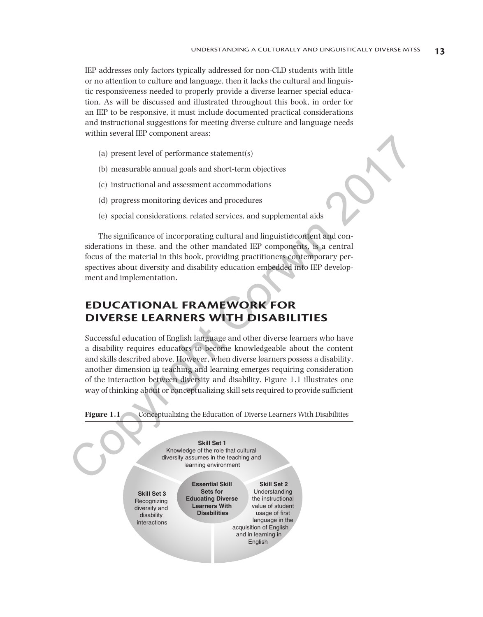IEP addresses only factors typically addressed for non-CLD students with little or no attention to culture and language, then it lacks the cultural and linguistic responsiveness needed to properly provide a diverse learner special education. As will be discussed and illustrated throughout this book, in order for an IEP to be responsive, it must include documented practical considerations and instructional suggestions for meeting diverse culture and language needs within several IEP component areas:

- (a) present level of performance statement(s)
- (b) measurable annual goals and short-term objectives
- (c) instructional and assessment accommodations
- (d) progress monitoring devices and procedures
- (e) special considerations, related services, and supplemental aids

The significance of incorporating cultural and linguistic content and considerations in these, and the other mandated IEP components, is a central focus of the material in this book, providing practitioners contemporary perspectives about diversity and disability education embedded into IEP development and implementation.

# **EDUCATIONAL FRAMEWORK FOR DIVERSE LEARNERS WITH DISABILITIES**

Successful education of English language and other diverse learners who have a disability requires educators to become knowledgeable about the content and skills described above. However, when diverse learners possess a disability, another dimension in teaching and learning emerges requiring consideration of the interaction between diversity and disability. Figure 1.1 illustrates one way of thinking about or conceptualizing skill sets required to provide sufficient

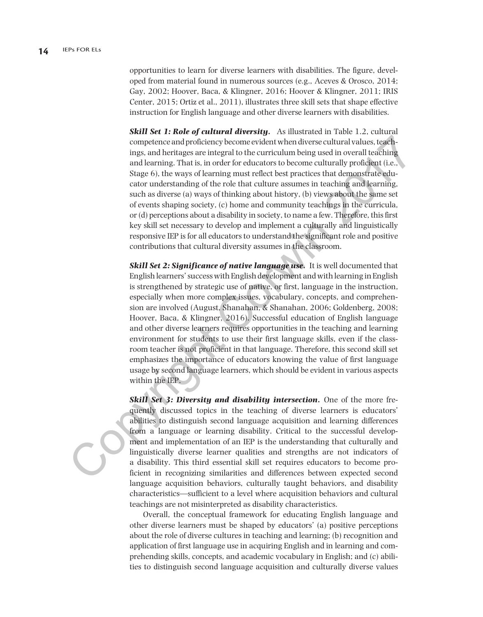opportunities to learn for diverse learners with disabilities. The figure, developed from material found in numerous sources (e.g., Aceves & Orosco, 2014; Gay, 2002; Hoover, Baca, & Klingner, 2016; Hoover & Klingner, 2011; IRIS Center, 2015; Ortiz et al., 2011), illustrates three skill sets that shape effective instruction for English language and other diverse learners with disabilities.

*Skill Set 1: Role of cultural diversity***.** As illustrated in Table 1.2, cultural competence and proficiency become evident when diverse cultural values, teachings, and heritages are integral to the curriculum being used in overall teaching and learning. That is, in order for educators to become culturally proficient (i.e., Stage 6), the ways of learning must reflect best practices that demonstrate educator understanding of the role that culture assumes in teaching and learning, such as diverse (a) ways of thinking about history, (b) views about the same set of events shaping society, (c) home and community teachings in the curricula, or (d) perceptions about a disability in society, to name a few. Therefore, this first key skill set necessary to develop and implement a culturally and linguistically responsive IEP is for all educators to understand the significant role and positive contributions that cultural diversity assumes in the classroom.

*Skill Set 2: Significance of native language use***.** It is well documented that English learners' success with English development and with learning in English is strengthened by strategic use of native, or first, language in the instruction, especially when more complex issues, vocabulary, concepts, and comprehension are involved (August, Shanahan, & Shanahan, 2006; Goldenberg, 2008; Hoover, Baca, & Klingner, 2016). Successful education of English language and other diverse learners requires opportunities in the teaching and learning environment for students to use their first language skills, even if the classroom teacher is not proficient in that language. Therefore, this second skill set emphasizes the importance of educators knowing the value of first language usage by second language learners, which should be evident in various aspects within the IEP. competence and proficiency become evident when diverse cultural values, teachings, and heritages are integral to the curriculum being used in overall reaching and learning. That is, morder for educators to become cultural

**Skill Set 3: Diversity and disability intersection.** One of the more frequently discussed topics in the teaching of diverse learners is educators' abilities to distinguish second language acquisition and learning differences from a language or learning disability. Critical to the successful development and implementation of an IEP is the understanding that culturally and linguistically diverse learner qualities and strengths are not indicators of a disability. This third essential skill set requires educators to become proficient in recognizing similarities and differences between expected second language acquisition behaviors, culturally taught behaviors, and disability characteristics—sufficient to a level where acquisition behaviors and cultural teachings are not misinterpreted as disability characteristics.

Overall, the conceptual framework for educating English language and other diverse learners must be shaped by educators' (a) positive perceptions about the role of diverse cultures in teaching and learning; (b) recognition and application of first language use in acquiring English and in learning and comprehending skills, concepts, and academic vocabulary in English; and (c) abilities to distinguish second language acquisition and culturally diverse values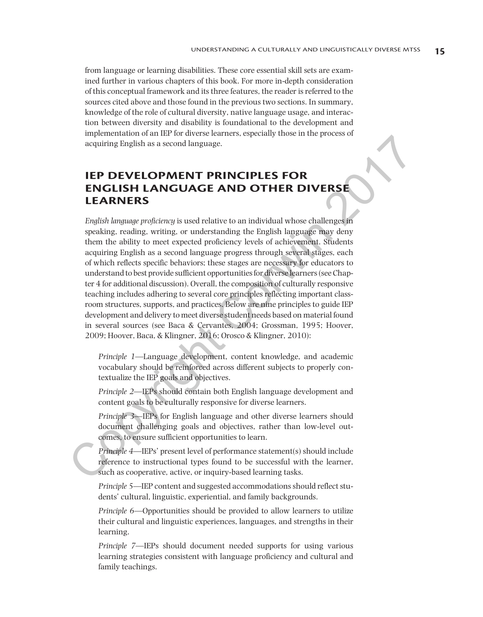from language or learning disabilities. These core essential skill sets are examined further in various chapters of this book. For more in-depth consideration of this conceptual framework and its three features, the reader is referred to the sources cited above and those found in the previous two sections. In summary, knowledge of the role of cultural diversity, native language usage, and interaction between diversity and disability is foundational to the development and implementation of an IEP for diverse learners, especially those in the process of acquiring English as a second language.

## **IEP DEVELOPMENT PRINCIPLES FOR ENGLISH LANGUAGE AND OTHER DIVERSE LEARNERS**

*English language proficiency* is used relative to an individual whose challenges in speaking, reading, writing, or understanding the English language may deny them the ability to meet expected proficiency levels of achievement. Students acquiring English as a second language progress through several stages, each of which reflects specific behaviors; these stages are necessary for educators to understand to best provide sufficient opportunities for diverse learners (see Chapter 4 for additional discussion). Overall, the composition of culturally responsive teaching includes adhering to several core principles reflecting important classroom structures, supports, and practices. Below are nine principles to guide IEP development and delivery to meet diverse student needs based on material found in several sources (see Baca & Cervantes, 2004; Grossman, 1995; Hoover, 2009; Hoover, Baca, & Klingner, 2016; Orosco & Klingner, 2010): **EXECUTE DEVELOPMENT PRINCIPLES FOR ENGINE AND CONTROLL (SEE THE SEE ARRERS ENGINEERS FOR ENGINEERS FOR ENGINEERS FOR ENGINEERS CRIPTS (FIGURE ANTIFIC CORRESPOND TO THE CORRESPOND TO THE CORRESPOND TO THE CORRESPOND TO TH** 

*Principle 1*—Language development, content knowledge, and academic vocabulary should be reinforced across different subjects to properly contextualize the IEP goals and objectives.

*Principle 2*—IEPs should contain both English language development and content goals to be culturally responsive for diverse learners.

*Principle 3—*IEPs for English language and other diverse learners should document challenging goals and objectives, rather than low-level outcomes, to ensure sufficient opportunities to learn.

*Principle 4*—IEPs' present level of performance statement(s) should include reference to instructional types found to be successful with the learner, such as cooperative, active, or inquiry-based learning tasks.

*Principle 5*—IEP content and suggested accommodations should reflect students' cultural, linguistic, experiential, and family backgrounds.

*Principle 6*—Opportunities should be provided to allow learners to utilize their cultural and linguistic experiences, languages, and strengths in their learning.

*Principle 7*—IEPs should document needed supports for using various learning strategies consistent with language proficiency and cultural and family teachings.